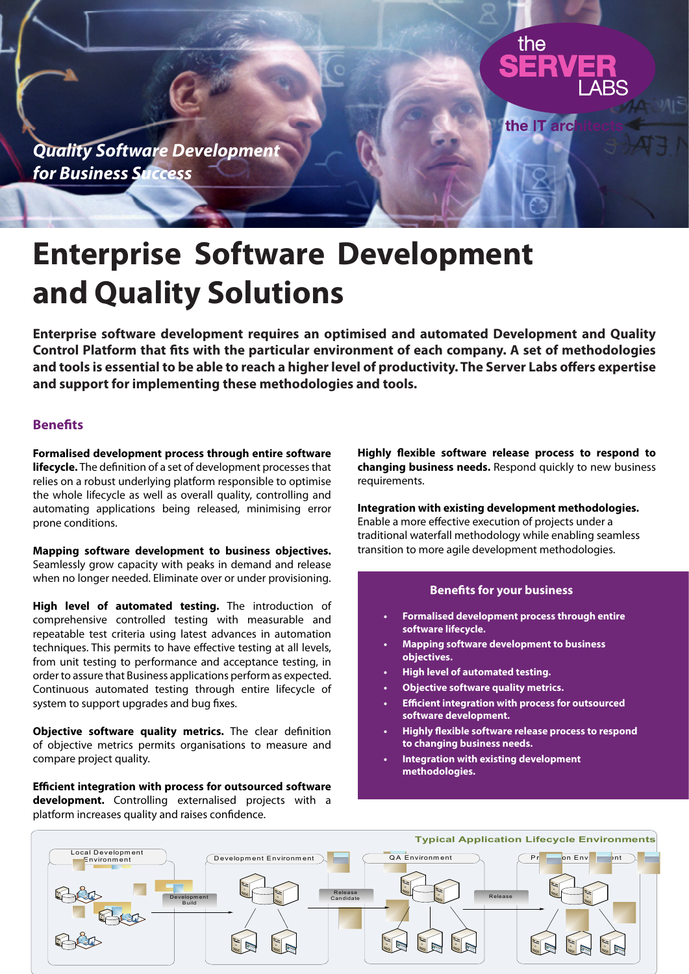

# **Enterprise Software Development and Quality Solutions**

**Enterprise software development requires an optimised and automated Development and Quality Control Platform that fits with the particular environment of each company. A set of methodologies and tools is essential to be able to reach a higher level of productivity. The Server Labs offers expertise and support for implementing these methodologies and tools.**

# **Benefits**

**Formalised development process through entire software lifecycle.** The definition of a set of development processes that relies on a robust underlying platform responsible to optimise the whole lifecycle as well as overall quality, controlling and automating applications being released, minimising error prone conditions.

**Mapping software development to business objectives.**  Seamlessly grow capacity with peaks in demand and release when no longer needed. Eliminate over or under provisioning.

**High level of automated testing.** The introduction of comprehensive controlled testing with measurable and repeatable test criteria using latest advances in automation techniques. This permits to have effective testing at all levels, from unit testing to performance and acceptance testing, in order to assure that Business applications perform as expected. Continuous automated testing through entire lifecycle of system to support upgrades and bug fixes.

**Objective software quality metrics.** The clear definition of objective metrics permits organisations to measure and compare project quality.

**Efficient integration with process for outsourced software development.** Controlling externalised projects with a platform increases quality and raises confidence.

**Highly flexible software release process to respond to changing business needs.** Respond quickly to new business requirements.

**Integration with existing development methodologies.**  Enable a more effective execution of projects under a traditional waterfall methodology while enabling seamless transition to more agile development methodologies.

### **Benefits for your business**

- **Formalised development process through entire software lifecycle. •**
- **Mapping software development to business objectives. •**
- **High level of automated testing. •**
- **Objective software quality metrics. •**
- **Efficient integration with process for outsourced software development. •**
- **Highly flexible software release process to respond to changing business needs. •**
- **Integration with existing development methodologies. •**